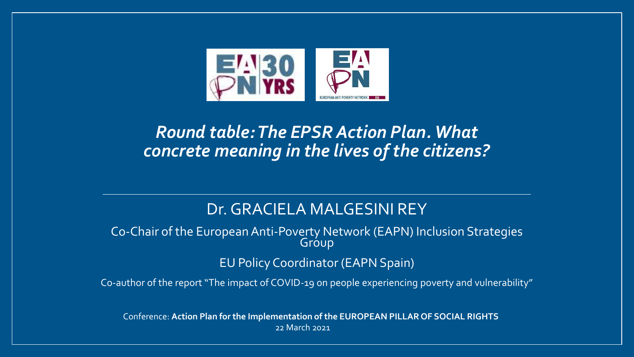

#### *Round table: The EPSR Action Plan. What concrete meaning in the lives of the citizens?*

#### Dr.GRACIELA MALGESINI REY

Co-Chair of the European Anti-Poverty Network (EAPN) Inclusion Strategies **Group** 

EU Policy Coordinator (EAPN Spain)

Co-author of the report "The impact of COVID-19 on people experiencing poverty and vulnerability"

Conference: **Action Plan for the Implementation of the EUROPEAN PILLAR OF SOCIAL RIGHTS** 22 March 2021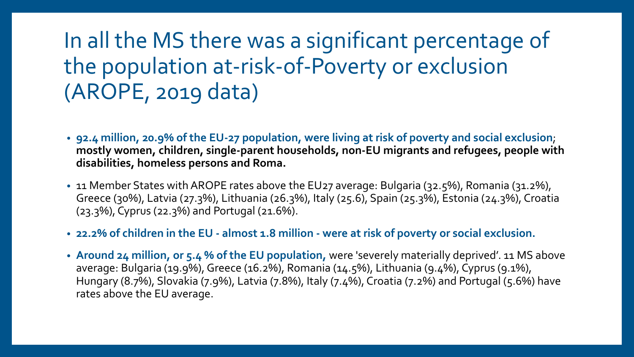#### In all the MS there was a significant percentage of the population at-risk-of-Poverty or exclusion (AROPE, 2019 data)

- **92.4 million, 20.9% of the EU-27 population, were living at risk of poverty and social exclusion**; **mostly women, children, single-parent households, non-EU migrants and refugees, people with disabilities, homeless persons and Roma.**
- 11 Member States with AROPE rates above the EU27 average: Bulgaria (32.5%), Romania (31.2%), Greece (30%), Latvia (27.3%), Lithuania (26.3%), Italy (25.6), Spain (25.3%), Estonia (24.3%), Croatia (23.3%), Cyprus (22.3%) and Portugal (21.6%).
- **22.2% of children in the EU - almost 1.8 million - were at risk of poverty or social exclusion.**
- **Around 24 million, or 5.4 % of the EU population,** were 'severely materially deprived'. 11 MS above average: Bulgaria (19.9%), Greece (16.2%), Romania (14.5%), Lithuania (9.4%), Cyprus (9.1%), Hungary (8.7%), Slovakia (7.9%), Latvia (7.8%), Italy (7.4%), Croatia (7.2%) and Portugal (5.6%) have rates above the EU average.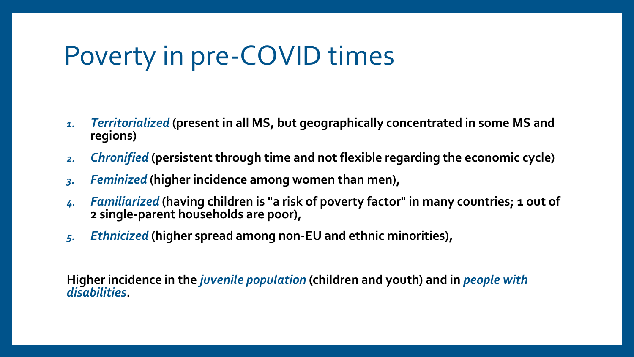#### Poverty in pre-COVID times

- *1. Territorialized* **(present in all MS, but geographically concentrated in some MS and regions)**
- *2. Chronified* **(persistent through time and not flexible regarding the economic cycle)**
- *3. Feminized* **(higher incidence among women than men),**
- *4. Familiarized* **(having children is "a risk of poverty factor" in many countries; 1 out of 2 single-parent households are poor),**
- *5. Ethnicized* **(higher spread among non-EU and ethnic minorities),**

**Higher incidence in the** *juvenile population* **(children and youth) and in** *people with disabilities***.**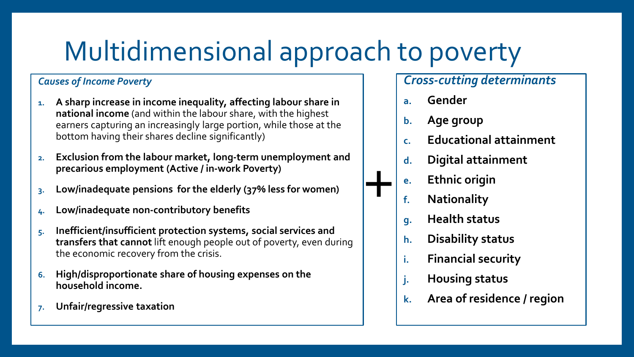# Multidimensional approach to poverty

#### *Causes of Income Poverty*

- **1. A sharp increase in income inequality, affecting labour share in national income** (and within the labour share, with the highest earners capturing an increasingly large portion, while those at the bottom having their shares decline significantly)
- **2. Exclusion from the labour market, long-term unemployment and precarious employment (Active / in-work Poverty)**
- **3. Low/inadequate pensions for the elderly (37% less for women)**
- **4. Low/inadequate non-contributory benefits**
- **5. Inefficient/insufficient protection systems, social services and transfers that cannot** lift enough people out of poverty, even during the economic recovery from the crisis.
- **6. High/disproportionate share of housing expenses on the household income.**
- **7. Unfair/regressive taxation**

#### *Cross-cutting determinants*

- **a. Gender**
- **b. Age group**
- **c. Educational attainment**
- **d. Digital attainment**
- **e. Ethnic origin**
- **f. Nationality**
- **g. Health status**
- **h. Disability status**
- **i. Financial security**
- **j. Housing status**
- **k. Area of residence / region**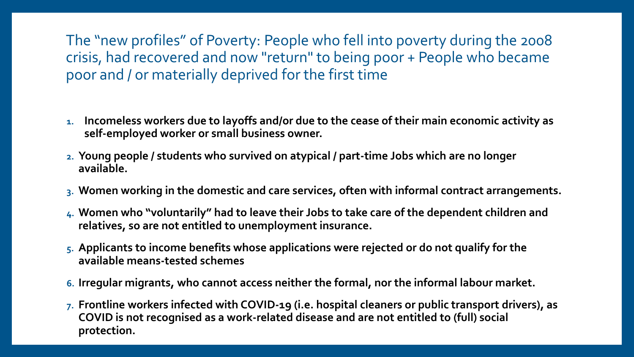The "new profiles" of Poverty: People who fell into poverty during the 2008 crisis, had recovered and now "return" to being poor + People who became poor and / or materially deprived for the first time

- **1. Incomeless workers due to layoffs and/or due to the cease of their main economic activity as self-employed worker or small business owner.**
- **2. Young people / students who survived on atypical / part-time Jobs which are no longer available.**
- **3. Women working in the domestic and care services, often with informal contract arrangements.**
- **4. Women who "voluntarily" had to leave their Jobs to take care of the dependent children and relatives, so are not entitled to unemployment insurance.**
- **5. Applicants to income benefits whose applications were rejected or do not qualify for the available means-tested schemes**
- **6. Irregular migrants, who cannot access neither the formal, nor the informal labour market.**
- **7. Frontline workers infected with COVID-19 (i.e. hospital cleaners or public transport drivers), as COVID is not recognised as a work-related disease and are not entitled to (full) social protection.**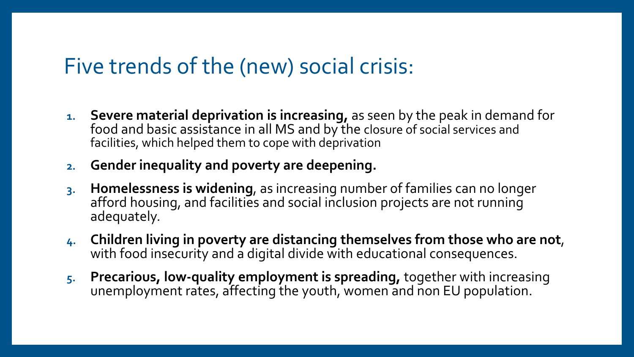#### Five trends of the (new) social crisis:

- **1. Severe material deprivation is increasing,** as seen by the peak in demand for food and basic assistance in all MS and by the closure of social services and facilities, which helped them to cope with deprivation
- **2. Gender inequality and poverty are deepening.**
- **3. Homelessness is widening**, as increasing number of families can no longer afford housing, and facilities and social inclusion projects are not running adequately.
- **4. Children living in poverty are distancing themselves from those who are not**, with food insecurity and a digital divide with educational consequences.
- **5. Precarious, low-quality employment is spreading,** together with increasing unemployment rates, affecting the youth, women and non EU population.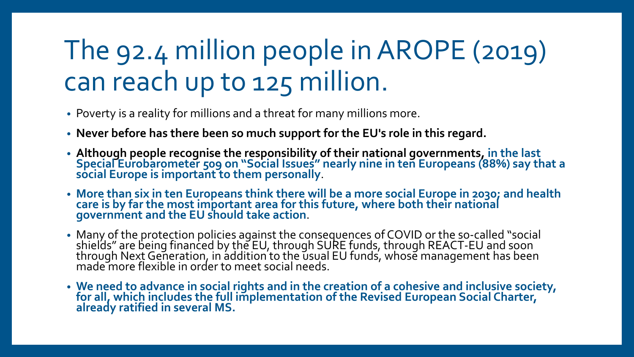## The 92.4 million people in AROPE (2019) can reach up to 125 million.

- Poverty is a reality for millions and a threat for many millions more.
- **Never before has there been so much support for the EU's role in this regard.**
- **Although people recognise the responsibility of their national governments, in the last Special Eurobarometer 509 on "Social Issues" nearly nine in ten Europeans (88%) say that a social Europe is important to them personally**.
- **More than six in ten Europeans think there will be a more social Europe in 2030; and health care is by far the most important area for this future, where both their national government and the EU should take action**.
- Many of the protection policies against the consequences of COVID or the so-called "social shields" are being financed by the EU, through SURE funds, through REACT-EU and soon through Next Generation, in addition to the usual EU funds, whose management has been made more flexible in order to meet social needs.
- **We need to advance in social rights and in the creation of a cohesive and inclusive society, for all, which includes the full implementation of the Revised European Social Charter, already ratified in several MS.**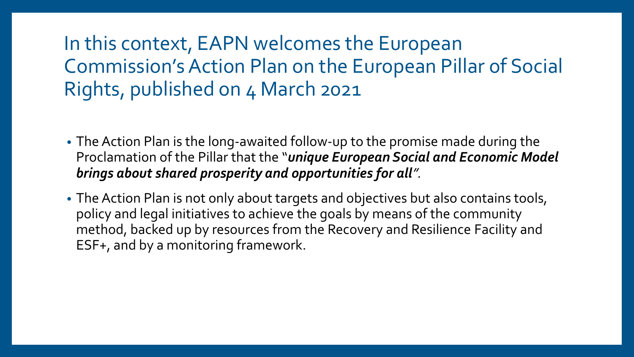#### In this context, EAPN welcomes the European Commission'sAction Plan on the European Pillar of Social Rights, published on 4 March 2021

- The Action Plan is the long-awaited follow-up to the promise made during the Proclamation of the Pillar that the "*unique European Social and Economic Model brings about shared prosperity and opportunities for all".*
- The Action Plan is not only about targets and objectives but also contains tools, policy and legal initiatives to achieve the goals by means of the community method, backed up by resources from the Recovery and Resilience Facility and ESF+, and by a monitoring framework.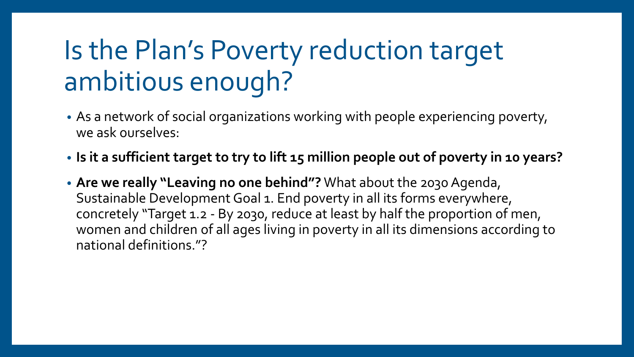# Is the Plan's Poverty reduction target ambitious enough?

- As a network of social organizations working with people experiencing poverty, we ask ourselves:
- **Is it a sufficient target to try to lift 15 million people out of poverty in 10 years?**
- **Are we really "Leaving no one behind"?** What about the 2030 Agenda, Sustainable Development Goal 1. End poverty in all its forms everywhere, concretely "Target 1.2 - By 2030, reduce at least by half the proportion of men, women and children of all ages living in poverty in all its dimensions according to national definitions."?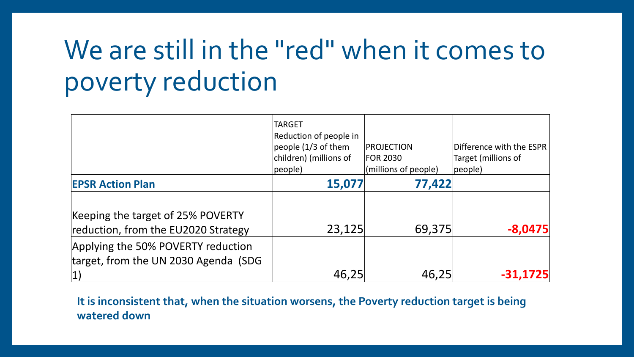## We are still in the "red" when it comes to poverty reduction

|                                                                                   | <b>TARGET</b><br>Reduction of people in<br>people $(1/3)$ of them<br>children) (millions of<br>people) | <b>PROJECTION</b><br><b>FOR 2030</b><br>(millions of people) | Difference with the ESPR<br>Target (millions of<br> people |
|-----------------------------------------------------------------------------------|--------------------------------------------------------------------------------------------------------|--------------------------------------------------------------|------------------------------------------------------------|
| <b>EPSR Action Plan</b>                                                           | 15,077                                                                                                 | 77,422                                                       |                                                            |
| Keeping the target of 25% POVERTY<br>reduction, from the EU2020 Strategy          | 23,125                                                                                                 | 69,375                                                       | $-8,0475$                                                  |
| Applying the 50% POVERTY reduction<br>target, from the UN 2030 Agenda (SDG<br> 1) | 46,25                                                                                                  | 46,25                                                        | -31,1725                                                   |

**It is inconsistent that, when the situation worsens, the Poverty reduction target is being watered down**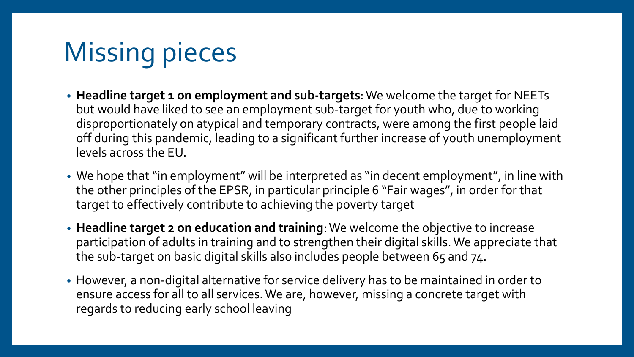# Missing pieces

- **Headline target 1 on employment and sub-targets**: We welcome the target for NEETs but would have liked to see an employment sub-target for youth who, due to working disproportionately on atypical and temporary contracts, were among the first people laid off during this pandemic, leading to a significant further increase of youth unemployment levels across the EU.
- We hope that "in employment" will be interpreted as "in decent employment", in line with the other principles of the EPSR, in particular principle 6 "Fair wages", in order for that target to effectively contribute to achieving the poverty target
- **Headline target 2 on education and training**: We welcome the objective to increase participation of adults in training and to strengthen their digital skills. We appreciate that the sub-target on basic digital skills also includes people between 65 and 74.
- However, a non-digital alternative for service delivery has to be maintained in order to ensure access for all to all services. We are, however, missing a concrete target with regards to reducing early school leaving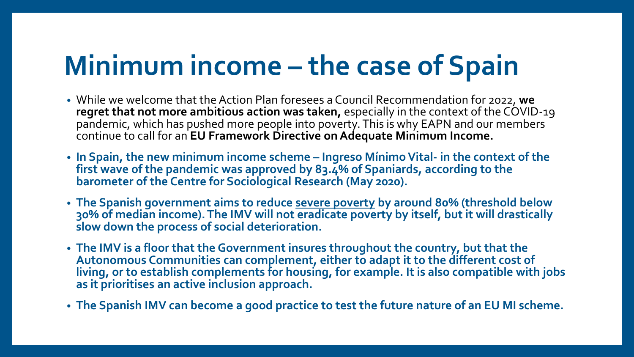# **Minimum income – the case of Spain**

- While we welcome that the Action Plan foresees a Council Recommendation for 2022, **we regret that not more ambitious action was taken,** especially in the context of the COVID-19 pandemic, which has pushed more people into poverty. This is why EAPN and our members continue to call for an **EU Framework Directive on Adequate Minimum Income.**
- **In Spain, the new minimum income scheme – Ingreso MínimoVital- in the context of the first wave of the pandemic was approved by 83.4% of Spaniards, according to the barometer of the Centre for Sociological Research (May 2020).**
- **The Spanish government aims to reduce severe poverty by around 80% (threshold below 30% of median income). The IMV will not eradicate poverty by itself, but it will drastically slow down the process of social deterioration.**
- **The IMV is a floor that the Government insures throughout the country, but that the Autonomous Communities can complement, either to adapt it to the different cost of living, or to establish complements for housing, for example. It is also compatible with jobs as it prioritises an active inclusion approach.**
- **The Spanish IMV can become a good practice to test the future nature of an EU MI scheme.**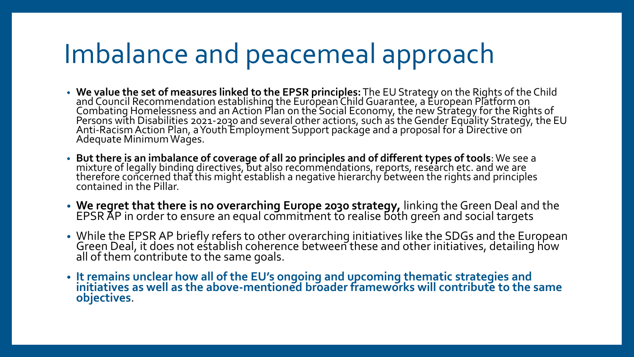#### Imbalance and peacemeal approach

- **We value the set of measures linked to the EPSR principles:** The EU Strategy on the Rights of the Child and Council Recommendation establishing the European Child Guarantee, a Éuropean Platform on Combating Homelessness and an Action Plan on the Social Economy, the new Strategy for the Rights of Persons with Disabilities 2021-2030 and several other actions, such as the Gender Equality Strategy, the EU Anti-Racism Action Plan, a Youth Employment Support package and a proposal for a Directive on Adequate Minimum Wages.
- **But there is an imbalance of coverage of all 20 principles and of different types of tools**: We see a mixture of legally binding directives, but also recommendations, reports, reséarch etc. and we are therefore concerned that this might establish a negative hierarchy between the rights and principles contained in the Pillar.
- **We regret that there is no overarching Europe 2030 strategy,** linking the Green Deal and the EPSR AP in order to ensure an equal commitment to realise both green and social targets
- While the EPSR AP briefly refers to other overarching initiatives like the SDGs and the European Green Deal, it does not establish coherence between these and other initiatives, detailing how all of them contribute to the same goals.
- **It remains unclear how all of the EU's ongoing and upcoming thematic strategies and initiatives as well as the above-mentioned broader frameworks will contribute to the same objectives**.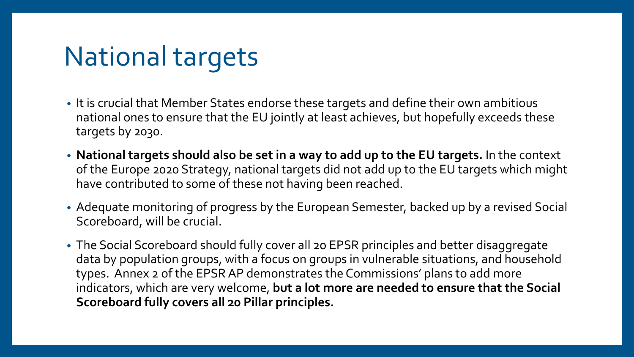### National targets

- It is crucial that Member States endorse these targets and define their own ambitious national ones to ensure that the EU jointly at least achieves, but hopefully exceeds these targets by 2030.
- **National targets should also be set in a way to add up to the EU targets.** In the context of the Europe 2020 Strategy, national targets did not add up to the EU targets which might have contributed to some of these not having been reached.
- Adequate monitoring of progress by the European Semester, backed up by a revised Social Scoreboard, will be crucial.
- The Social Scoreboard should fully cover all 20 EPSR principles and better disaggregate data by population groups, with a focus on groups in vulnerable situations, and household types. Annex 2 of the EPSR AP demonstrates the Commissions' plans to add more indicators, which are very welcome, **but a lot more are needed to ensure that the Social Scoreboard fully covers all 20 Pillar principles.**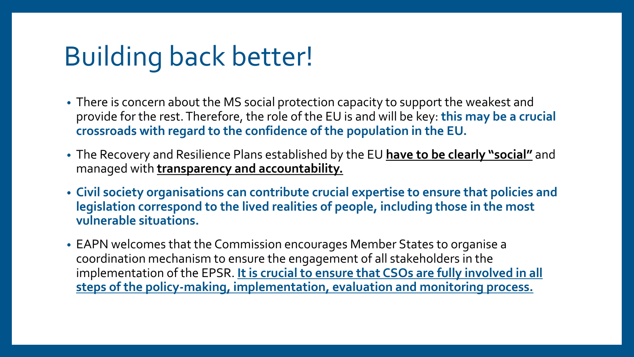# Building back better!

- There is concern about the MS social protection capacity to support the weakest and provide for the rest. Therefore, the role of the EU is and will be key: **this may be a crucial crossroads with regard to the confidence of the population in the EU.**
- The Recovery and Resilience Plans established by the EU **have to be clearly "social"** and managed with **transparency and accountability.**
- **Civil society organisations can contribute crucial expertise to ensure that policies and legislation correspond to the lived realities of people, including those in the most vulnerable situations.**
- EAPN welcomes that the Commission encourages Member States to organise a coordination mechanism to ensure the engagement of all stakeholders in the implementation of the EPSR. It is crucial to ensure that CSOs are fully involved in all **steps of the policy-making, implementation, evaluation and monitoring process.**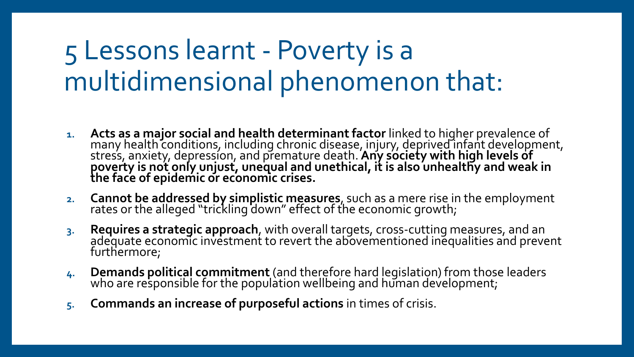#### 5 Lessons learnt - Poverty is a multidimensional phenomenon that:

- **1. Acts as a major social and health determinant factor** linked to higher prevalence of many health conditions, including chronic disease, injury, deprived infant development, stress, anxiety, depression, and premature death. **Any society with high levels of poverty is not only unjust, unequal and unethical, it is also unhealthy and weak in the face of epidemic or economic crises.**
- **2. Cannot be addressed by simplistic measures**, such as a mere rise in the employment rates or the alleged "trickling down" effect of the economic growth;
- **3. Requires a strategic approach**, with overall targets, cross-cutting measures, and an adequate economic investment to revert the abovementioned inequalities and prevent furthermore;
- **4. Demands political commitment** (and therefore hard legislation) from those leaders who are responsible for the population wellbeing and human development;
- **5. Commands an increase of purposeful actions** in times of crisis.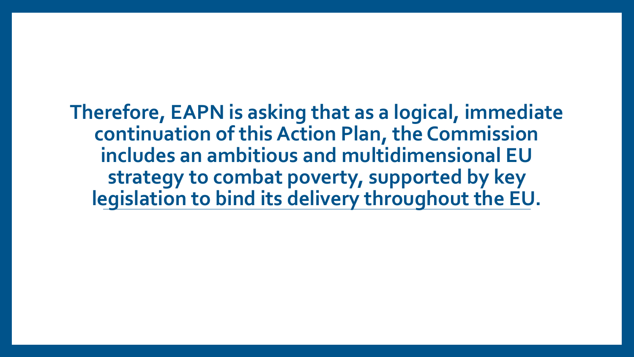**Therefore, EAPN is asking that as a logical, immediate continuation of this Action Plan, the Commission includes an ambitious and multidimensional EU strategy to combat poverty, supported by key legislation to bind its delivery throughout the EU.**